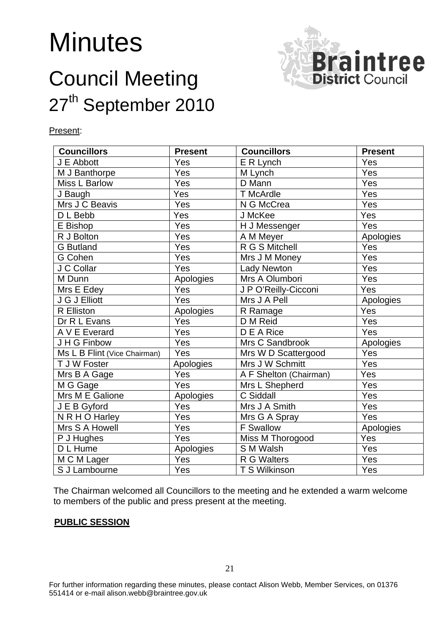# **Minutes**

# Council Meeting 27<sup>th</sup> September 2010



#### Present:

| <b>Councillors</b>           | <b>Present</b> | <b>Councillors</b>     | <b>Present</b> |
|------------------------------|----------------|------------------------|----------------|
| J E Abbott                   | Yes            | E R Lynch              | Yes            |
| M J Banthorpe                | Yes            | M Lynch                | Yes            |
| Miss L Barlow                | Yes            | D Mann                 | Yes            |
| J Baugh                      | Yes            | <b>T</b> McArdle       | Yes            |
| Mrs J C Beavis               | Yes            | N G McCrea             | Yes            |
| D L Bebb                     | Yes            | J McKee                | Yes            |
| E Bishop                     | Yes            | H J Messenger          | Yes            |
| R J Bolton                   | Yes            | A M Meyer              | Apologies      |
| <b>G</b> Butland             | Yes            | R G S Mitchell         | Yes            |
| G Cohen                      | Yes            | Mrs J M Money          | Yes            |
| J C Collar                   | Yes            | <b>Lady Newton</b>     | Yes            |
| M Dunn                       | Apologies      | Mrs A Olumbori         | Yes            |
| Mrs E Edey                   | Yes            | J P O'Reilly-Cicconi   | Yes            |
| J G J Elliott                | Yes            | Mrs J A Pell           | Apologies      |
| R Elliston                   | Apologies      | R Ramage               | Yes            |
| Dr R L Evans                 | Yes            | D M Reid               | Yes            |
| A V E Everard                | Yes            | D E A Rice             | $\bar{Y}$ es   |
| J H G Finbow                 | Yes            | Mrs C Sandbrook        | Apologies      |
| Ms L B Flint (Vice Chairman) | Yes            | Mrs W D Scattergood    | Yes            |
| T J W Foster                 | Apologies      | Mrs J W Schmitt        | Yes            |
| Mrs B A Gage                 | Yes            | A F Shelton (Chairman) | Yes            |
| M G Gage                     | Yes            | Mrs L Shepherd         | Yes            |
| Mrs M E Galione              | Apologies      | C Siddall              | Yes            |
| J E B Gyford                 | Yes            | Mrs J A Smith          | Yes            |
| N R H O Harley               | Yes            | Mrs G A Spray          | Yes            |
| Mrs S A Howell               | Yes            | <b>F</b> Swallow       | Apologies      |
| P J Hughes                   | Yes            | Miss M Thorogood       | Yes            |
| $\overline{D}$ L Hume        | Apologies      | S M Walsh              | Yes            |
| M C M Lager                  | Yes            | R G Walters            | Yes            |
| S J Lambourne                | Yes            | T S Wilkinson          | Yes            |

The Chairman welcomed all Councillors to the meeting and he extended a warm welcome to members of the public and press present at the meeting.

#### **PUBLIC SESSION**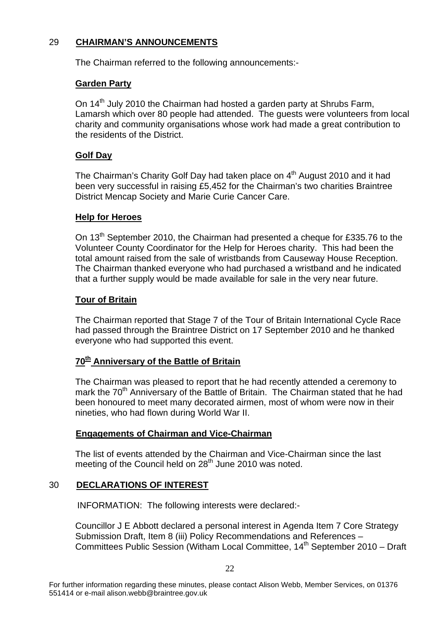### 29 **CHAIRMAN'S ANNOUNCEMENTS**

The Chairman referred to the following announcements:-

### **Garden Party**

On 14<sup>th</sup> July 2010 the Chairman had hosted a garden party at Shrubs Farm, Lamarsh which over 80 people had attended. The guests were volunteers from local charity and community organisations whose work had made a great contribution to the residents of the District.

# **Golf Day**

The Chairman's Charity Golf Day had taken place on 4<sup>th</sup> August 2010 and it had been very successful in raising £5,452 for the Chairman's two charities Braintree District Mencap Society and Marie Curie Cancer Care.

#### **Help for Heroes**

On 13<sup>th</sup> September 2010, the Chairman had presented a cheque for £335.76 to the Volunteer County Coordinator for the Help for Heroes charity. This had been the total amount raised from the sale of wristbands from Causeway House Reception. The Chairman thanked everyone who had purchased a wristband and he indicated that a further supply would be made available for sale in the very near future.

### **Tour of Britain**

The Chairman reported that Stage 7 of the Tour of Britain International Cycle Race had passed through the Braintree District on 17 September 2010 and he thanked everyone who had supported this event.

# **70th Anniversary of the Battle of Britain**

The Chairman was pleased to report that he had recently attended a ceremony to mark the 70<sup>th</sup> Anniversary of the Battle of Britain. The Chairman stated that he had been honoured to meet many decorated airmen, most of whom were now in their nineties, who had flown during World War II.

#### **Engagements of Chairman and Vice-Chairman**

The list of events attended by the Chairman and Vice-Chairman since the last meeting of the Council held on  $28<sup>th</sup>$  June 2010 was noted.

# 30 **DECLARATIONS OF INTEREST**

INFORMATION: The following interests were declared:-

Councillor J E Abbott declared a personal interest in Agenda Item 7 Core Strategy Submission Draft, Item 8 (iii) Policy Recommendations and References – Committees Public Session (Witham Local Committee,  $14<sup>th</sup>$  September 2010 – Draft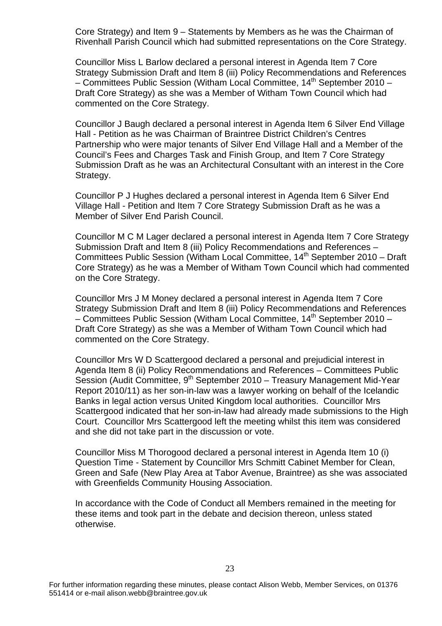Core Strategy) and Item 9 – Statements by Members as he was the Chairman of Rivenhall Parish Council which had submitted representations on the Core Strategy.

Councillor Miss L Barlow declared a personal interest in Agenda Item 7 Core Strategy Submission Draft and Item 8 (iii) Policy Recommendations and References – Committees Public Session (Witham Local Committee,  $14<sup>th</sup>$  September 2010 – Draft Core Strategy) as she was a Member of Witham Town Council which had commented on the Core Strategy.

Councillor J Baugh declared a personal interest in Agenda Item 6 Silver End Village Hall - Petition as he was Chairman of Braintree District Children's Centres Partnership who were major tenants of Silver End Village Hall and a Member of the Council's Fees and Charges Task and Finish Group, and Item 7 Core Strategy Submission Draft as he was an Architectural Consultant with an interest in the Core Strategy.

Councillor P J Hughes declared a personal interest in Agenda Item 6 Silver End Village Hall - Petition and Item 7 Core Strategy Submission Draft as he was a Member of Silver End Parish Council.

Councillor M C M Lager declared a personal interest in Agenda Item 7 Core Strategy Submission Draft and Item 8 (iii) Policy Recommendations and References – Committees Public Session (Witham Local Committee,  $14<sup>th</sup>$  September 2010 – Draft Core Strategy) as he was a Member of Witham Town Council which had commented on the Core Strategy.

Councillor Mrs J M Money declared a personal interest in Agenda Item 7 Core Strategy Submission Draft and Item 8 (iii) Policy Recommendations and References – Committees Public Session (Witham Local Committee,  $14<sup>th</sup>$  September 2010 – Draft Core Strategy) as she was a Member of Witham Town Council which had commented on the Core Strategy.

Councillor Mrs W D Scattergood declared a personal and prejudicial interest in Agenda Item 8 (ii) Policy Recommendations and References – Committees Public Session (Audit Committee,  $9<sup>th</sup>$  September 2010 – Treasury Management Mid-Year Report 2010/11) as her son-in-law was a lawyer working on behalf of the Icelandic Banks in legal action versus United Kingdom local authorities. Councillor Mrs Scattergood indicated that her son-in-law had already made submissions to the High Court. Councillor Mrs Scattergood left the meeting whilst this item was considered and she did not take part in the discussion or vote.

Councillor Miss M Thorogood declared a personal interest in Agenda Item 10 (i) Question Time - Statement by Councillor Mrs Schmitt Cabinet Member for Clean, Green and Safe (New Play Area at Tabor Avenue, Braintree) as she was associated with Greenfields Community Housing Association.

In accordance with the Code of Conduct all Members remained in the meeting for these items and took part in the debate and decision thereon, unless stated otherwise.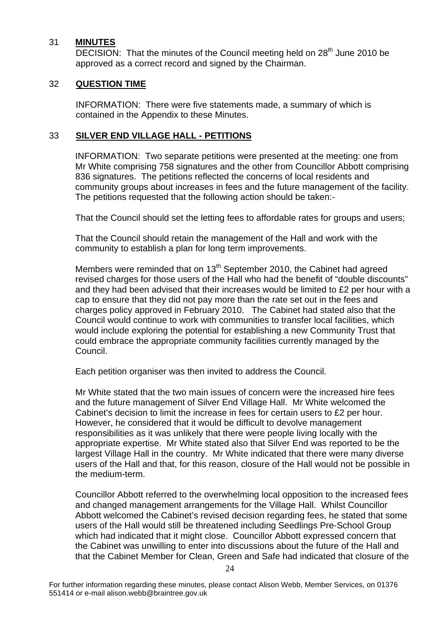#### 31 **MINUTES**

DECISION: That the minutes of the Council meeting held on 28<sup>th</sup> June 2010 be approved as a correct record and signed by the Chairman.

#### 32 **QUESTION TIME**

INFORMATION: There were five statements made, a summary of which is contained in the Appendix to these Minutes.

#### 33 **SILVER END VILLAGE HALL - PETITIONS**

INFORMATION: Two separate petitions were presented at the meeting: one from Mr White comprising 758 signatures and the other from Councillor Abbott comprising 836 signatures. The petitions reflected the concerns of local residents and community groups about increases in fees and the future management of the facility. The petitions requested that the following action should be taken:-

That the Council should set the letting fees to affordable rates for groups and users;

That the Council should retain the management of the Hall and work with the community to establish a plan for long term improvements.

Members were reminded that on 13<sup>th</sup> September 2010, the Cabinet had agreed revised charges for those users of the Hall who had the benefit of "double discounts" and they had been advised that their increases would be limited to £2 per hour with a cap to ensure that they did not pay more than the rate set out in the fees and charges policy approved in February 2010. The Cabinet had stated also that the Council would continue to work with communities to transfer local facilities, which would include exploring the potential for establishing a new Community Trust that could embrace the appropriate community facilities currently managed by the Council.

Each petition organiser was then invited to address the Council.

Mr White stated that the two main issues of concern were the increased hire fees and the future management of Silver End Village Hall. Mr White welcomed the Cabinet's decision to limit the increase in fees for certain users to £2 per hour. However, he considered that it would be difficult to devolve management responsibilities as it was unlikely that there were people living locally with the appropriate expertise. Mr White stated also that Silver End was reported to be the largest Village Hall in the country. Mr White indicated that there were many diverse users of the Hall and that, for this reason, closure of the Hall would not be possible in the medium-term.

Councillor Abbott referred to the overwhelming local opposition to the increased fees and changed management arrangements for the Village Hall. Whilst Councillor Abbott welcomed the Cabinet's revised decision regarding fees, he stated that some users of the Hall would still be threatened including Seedlings Pre-School Group which had indicated that it might close. Councillor Abbott expressed concern that the Cabinet was unwilling to enter into discussions about the future of the Hall and that the Cabinet Member for Clean, Green and Safe had indicated that closure of the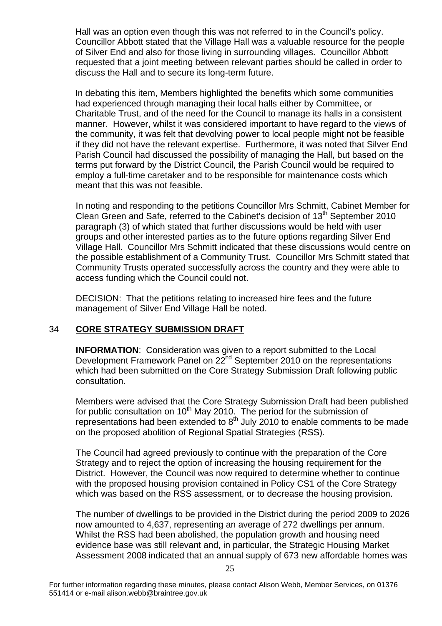Hall was an option even though this was not referred to in the Council's policy. Councillor Abbott stated that the Village Hall was a valuable resource for the people of Silver End and also for those living in surrounding villages. Councillor Abbott requested that a joint meeting between relevant parties should be called in order to discuss the Hall and to secure its long-term future.

In debating this item, Members highlighted the benefits which some communities had experienced through managing their local halls either by Committee, or Charitable Trust, and of the need for the Council to manage its halls in a consistent manner. However, whilst it was considered important to have regard to the views of the community, it was felt that devolving power to local people might not be feasible if they did not have the relevant expertise. Furthermore, it was noted that Silver End Parish Council had discussed the possibility of managing the Hall, but based on the terms put forward by the District Council, the Parish Council would be required to employ a full-time caretaker and to be responsible for maintenance costs which meant that this was not feasible.

In noting and responding to the petitions Councillor Mrs Schmitt, Cabinet Member for Clean Green and Safe, referred to the Cabinet's decision of 13<sup>th</sup> September 2010 paragraph (3) of which stated that further discussions would be held with user groups and other interested parties as to the future options regarding Silver End Village Hall. Councillor Mrs Schmitt indicated that these discussions would centre on the possible establishment of a Community Trust. Councillor Mrs Schmitt stated that Community Trusts operated successfully across the country and they were able to access funding which the Council could not.

 DECISION: That the petitions relating to increased hire fees and the future management of Silver End Village Hall be noted.

#### 34 **CORE STRATEGY SUBMISSION DRAFT**

**INFORMATION**: Consideration was given to a report submitted to the Local Development Framework Panel on 22<sup>nd</sup> September 2010 on the representations which had been submitted on the Core Strategy Submission Draft following public consultation.

Members were advised that the Core Strategy Submission Draft had been published for public consultation on  $10<sup>th</sup>$  May 2010. The period for the submission of representations had been extended to  $8<sup>th</sup>$  July 2010 to enable comments to be made on the proposed abolition of Regional Spatial Strategies (RSS).

The Council had agreed previously to continue with the preparation of the Core Strategy and to reject the option of increasing the housing requirement for the District. However, the Council was now required to determine whether to continue with the proposed housing provision contained in Policy CS1 of the Core Strategy which was based on the RSS assessment, or to decrease the housing provision.

The number of dwellings to be provided in the District during the period 2009 to 2026 now amounted to 4,637, representing an average of 272 dwellings per annum. Whilst the RSS had been abolished, the population growth and housing need evidence base was still relevant and, in particular, the Strategic Housing Market Assessment 2008 indicated that an annual supply of 673 new affordable homes was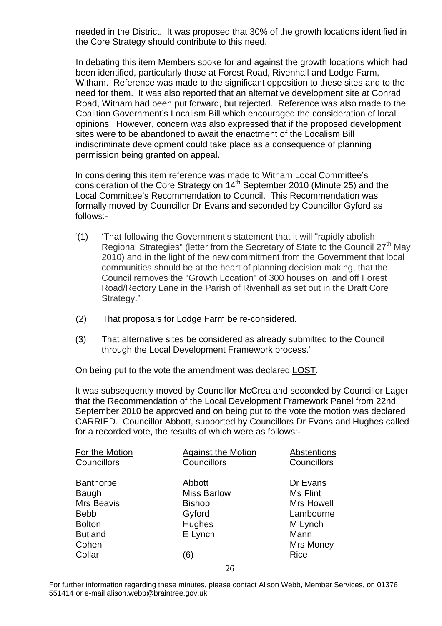needed in the District. It was proposed that 30% of the growth locations identified in the Core Strategy should contribute to this need.

In debating this item Members spoke for and against the growth locations which had been identified, particularly those at Forest Road, Rivenhall and Lodge Farm, Witham. Reference was made to the significant opposition to these sites and to the need for them. It was also reported that an alternative development site at Conrad Road, Witham had been put forward, but rejected. Reference was also made to the Coalition Government's Localism Bill which encouraged the consideration of local opinions. However, concern was also expressed that if the proposed development sites were to be abandoned to await the enactment of the Localism Bill indiscriminate development could take place as a consequence of planning permission being granted on appeal.

In considering this item reference was made to Witham Local Committee's consideration of the Core Strategy on 14<sup>th</sup> September 2010 (Minute 25) and the Local Committee's Recommendation to Council. This Recommendation was formally moved by Councillor Dr Evans and seconded by Councillor Gyford as follows:-

- '(1) 'That following the Government's statement that it will "rapidly abolish Regional Strategies" (letter from the Secretary of State to the Council  $27<sup>th</sup>$  May 2010) and in the light of the new commitment from the Government that local communities should be at the heart of planning decision making, that the Council removes the "Growth Location" of 300 houses on land off Forest Road/Rectory Lane in the Parish of Rivenhall as set out in the Draft Core Strategy."
- (2) That proposals for Lodge Farm be re-considered.
- (3) That alternative sites be considered as already submitted to the Council through the Local Development Framework process.'

On being put to the vote the amendment was declared LOST.

It was subsequently moved by Councillor McCrea and seconded by Councillor Lager that the Recommendation of the Local Development Framework Panel from 22nd September 2010 be approved and on being put to the vote the motion was declared CARRIED. Councillor Abbott, supported by Councillors Dr Evans and Hughes called for a recorded vote, the results of which were as follows:-

| For the Motion    | <b>Against the Motion</b> | Abstentions       |
|-------------------|---------------------------|-------------------|
| Councillors       | Councillors               | Councillors       |
| <b>Banthorpe</b>  | Abbott                    | Dr Evans          |
| Baugh             | <b>Miss Barlow</b>        | Ms Flint          |
| <b>Mrs Beavis</b> | <b>Bishop</b>             | <b>Mrs Howell</b> |
| <b>Bebb</b>       | Gyford                    | Lambourne         |
| <b>Bolton</b>     | Hughes                    | M Lynch           |
| <b>Butland</b>    | E Lynch                   | Mann              |
| Cohen             |                           | <b>Mrs Money</b>  |
| Collar            | (6)                       | Rice              |
|                   |                           |                   |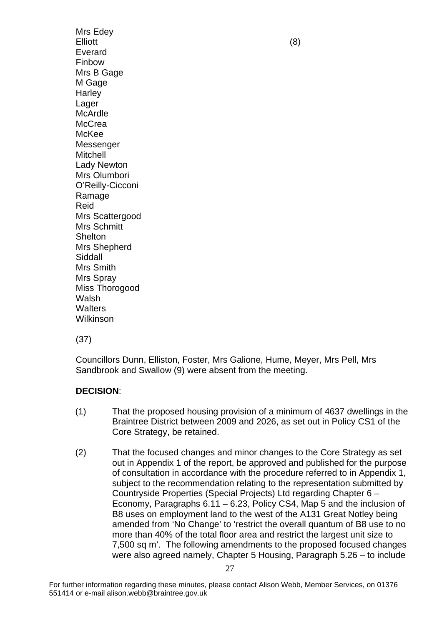Mrs Edey Elliott (8) Everard Finbow Mrs B Gage M Gage **Harley** Lager McArdle **McCrea** McKee Messenger Mitchell Lady Newton Mrs Olumbori O'Reilly-Cicconi Ramage Reid Mrs Scattergood Mrs Schmitt Shelton Mrs Shepherd Siddall Mrs Smith Mrs Spray Miss Thorogood Walsh **Walters** Wilkinson

(37)

Councillors Dunn, Elliston, Foster, Mrs Galione, Hume, Meyer, Mrs Pell, Mrs Sandbrook and Swallow (9) were absent from the meeting.

# **DECISION**:

- (1) That the proposed housing provision of a minimum of 4637 dwellings in the Braintree District between 2009 and 2026, as set out in Policy CS1 of the Core Strategy, be retained.
- (2) That the focused changes and minor changes to the Core Strategy as set out in Appendix 1 of the report, be approved and published for the purpose of consultation in accordance with the procedure referred to in Appendix 1, subject to the recommendation relating to the representation submitted by Countryside Properties (Special Projects) Ltd regarding Chapter 6 – Economy, Paragraphs 6.11 – 6.23, Policy CS4, Map 5 and the inclusion of B8 uses on employment land to the west of the A131 Great Notley being amended from 'No Change' to 'restrict the overall quantum of B8 use to no more than 40% of the total floor area and restrict the largest unit size to 7,500 sq m'. The following amendments to the proposed focused changes were also agreed namely, Chapter 5 Housing, Paragraph 5.26 – to include

27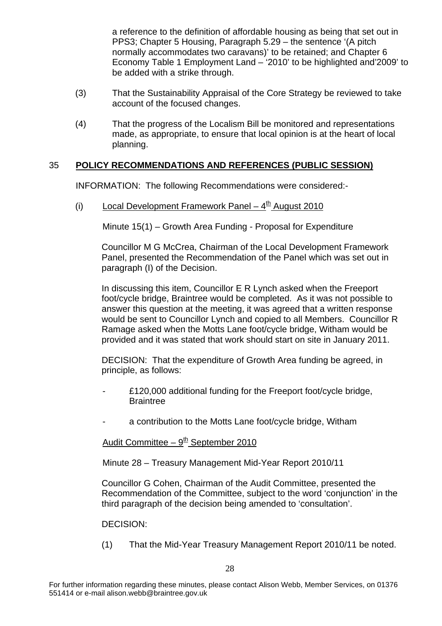a reference to the definition of affordable housing as being that set out in PPS3; Chapter 5 Housing, Paragraph 5.29 – the sentence '(A pitch normally accommodates two caravans)' to be retained; and Chapter 6 Economy Table 1 Employment Land – '2010' to be highlighted and'2009' to be added with a strike through.

- (3) That the Sustainability Appraisal of the Core Strategy be reviewed to take account of the focused changes.
- (4) That the progress of the Localism Bill be monitored and representations made, as appropriate, to ensure that local opinion is at the heart of local planning.

# 35 **POLICY RECOMMENDATIONS AND REFERENCES (PUBLIC SESSION)**

INFORMATION: The following Recommendations were considered:-

(i) Local Development Framework Panel  $-4<sup>th</sup>$  August 2010

Minute 15(1) – Growth Area Funding - Proposal for Expenditure

Councillor M G McCrea, Chairman of the Local Development Framework Panel, presented the Recommendation of the Panel which was set out in paragraph (I) of the Decision.

In discussing this item, Councillor E R Lynch asked when the Freeport foot/cycle bridge, Braintree would be completed. As it was not possible to answer this question at the meeting, it was agreed that a written response would be sent to Councillor Lynch and copied to all Members. Councillor R Ramage asked when the Motts Lane foot/cycle bridge, Witham would be provided and it was stated that work should start on site in January 2011.

DECISION: That the expenditure of Growth Area funding be agreed, in principle, as follows:

- £120,000 additional funding for the Freeport foot/cycle bridge, **Braintree**
- a contribution to the Motts Lane foot/cycle bridge, Witham

Audit Committee –  $9<sup>th</sup>$  September 2010

Minute 28 – Treasury Management Mid-Year Report 2010/11

Councillor G Cohen, Chairman of the Audit Committee, presented the Recommendation of the Committee, subject to the word 'conjunction' in the third paragraph of the decision being amended to 'consultation'.

#### DECISION:

(1) That the Mid-Year Treasury Management Report 2010/11 be noted.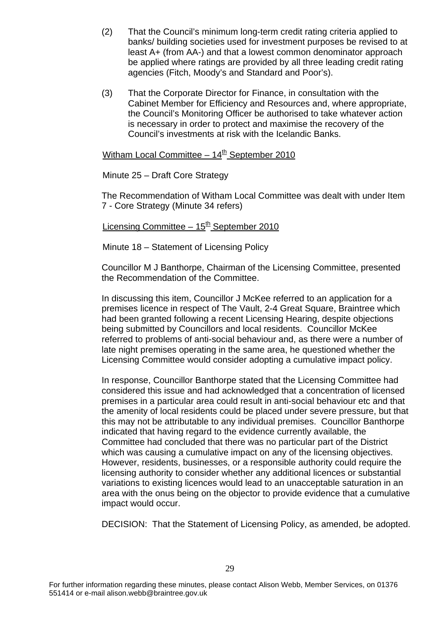- (2) That the Council's minimum long-term credit rating criteria applied to banks/ building societies used for investment purposes be revised to at least A+ (from AA-) and that a lowest common denominator approach be applied where ratings are provided by all three leading credit rating agencies (Fitch, Moody's and Standard and Poor's).
- (3) That the Corporate Director for Finance, in consultation with the Cabinet Member for Efficiency and Resources and, where appropriate, the Council's Monitoring Officer be authorised to take whatever action is necessary in order to protect and maximise the recovery of the Council's investments at risk with the Icelandic Banks.

Witham Local Committee –  $14<sup>th</sup>$  September 2010

Minute 25 – Draft Core Strategy

The Recommendation of Witham Local Committee was dealt with under Item 7 - Core Strategy (Minute 34 refers)

Licensing Committee –  $15<sup>th</sup>$  September 2010

Minute 18 – Statement of Licensing Policy

Councillor M J Banthorpe, Chairman of the Licensing Committee, presented the Recommendation of the Committee.

In discussing this item, Councillor J McKee referred to an application for a premises licence in respect of The Vault, 2-4 Great Square, Braintree which had been granted following a recent Licensing Hearing, despite objections being submitted by Councillors and local residents. Councillor McKee referred to problems of anti-social behaviour and, as there were a number of late night premises operating in the same area, he questioned whether the Licensing Committee would consider adopting a cumulative impact policy.

In response, Councillor Banthorpe stated that the Licensing Committee had considered this issue and had acknowledged that a concentration of licensed premises in a particular area could result in anti-social behaviour etc and that the amenity of local residents could be placed under severe pressure, but that this may not be attributable to any individual premises. Councillor Banthorpe indicated that having regard to the evidence currently available, the Committee had concluded that there was no particular part of the District which was causing a cumulative impact on any of the licensing objectives. However, residents, businesses, or a responsible authority could require the licensing authority to consider whether any additional licences or substantial variations to existing licences would lead to an unacceptable saturation in an area with the onus being on the objector to provide evidence that a cumulative impact would occur.

DECISION: That the Statement of Licensing Policy, as amended, be adopted.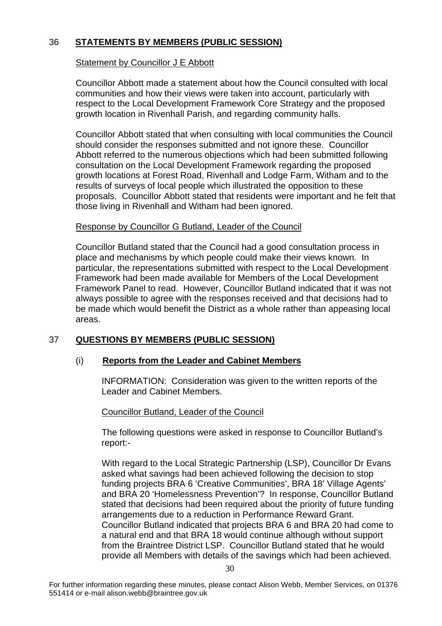# 36 **STATEMENTS BY MEMBERS (PUBLIC SESSION)**

### Statement by Councillor J E Abbott

Councillor Abbott made a statement about how the Council consulted with local communities and how their views were taken into account, particularly with respect to the Local Development Framework Core Strategy and the proposed growth location in Rivenhall Parish, and regarding community halls.

Councillor Abbott stated that when consulting with local communities the Council should consider the responses submitted and not ignore these. Councillor Abbott referred to the numerous objections which had been submitted following consultation on the Local Development Framework regarding the proposed growth locations at Forest Road, Rivenhall and Lodge Farm, Witham and to the results of surveys of local people which illustrated the opposition to these proposals. Councillor Abbott stated that residents were important and he felt that those living in Rivenhall and Witham had been ignored.

#### Response by Councillor G Butland, Leader of the Council

Councillor Butland stated that the Council had a good consultation process in place and mechanisms by which people could make their views known. In particular, the representations submitted with respect to the Local Development Framework had been made available for Members of the Local Development Framework Panel to read. However, Councillor Butland indicated that it was not always possible to agree with the responses received and that decisions had to be made which would benefit the District as a whole rather than appeasing local areas.

# 37 **QUESTIONS BY MEMBERS (PUBLIC SESSION)**

#### (i) **Reports from the Leader and Cabinet Members**

INFORMATION: Consideration was given to the written reports of the Leader and Cabinet Members.

#### Councillor Butland, Leader of the Council

The following questions were asked in response to Councillor Butland's report:-

With regard to the Local Strategic Partnership (LSP), Councillor Dr Evans asked what savings had been achieved following the decision to stop funding projects BRA 6 'Creative Communities', BRA 18' Village Agents' and BRA 20 'Homelessness Prevention'? In response, Councillor Butland stated that decisions had been required about the priority of future funding arrangements due to a reduction in Performance Reward Grant. Councillor Butland indicated that projects BRA 6 and BRA 20 had come to a natural end and that BRA 18 would continue although without support from the Braintree District LSP. Councillor Butland stated that he would provide all Members with details of the savings which had been achieved.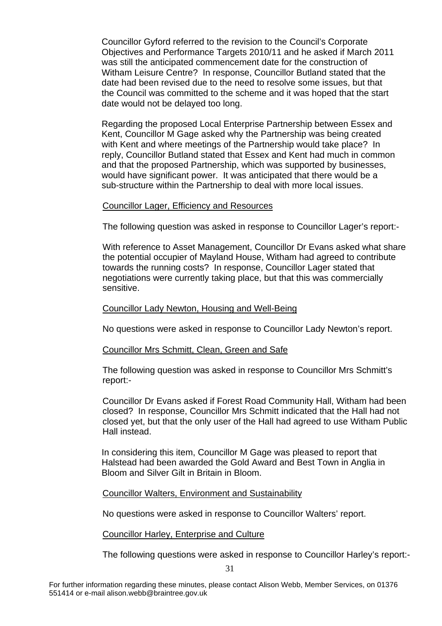Councillor Gyford referred to the revision to the Council's Corporate Objectives and Performance Targets 2010/11 and he asked if March 2011 was still the anticipated commencement date for the construction of Witham Leisure Centre? In response, Councillor Butland stated that the date had been revised due to the need to resolve some issues, but that the Council was committed to the scheme and it was hoped that the start date would not be delayed too long.

Regarding the proposed Local Enterprise Partnership between Essex and Kent, Councillor M Gage asked why the Partnership was being created with Kent and where meetings of the Partnership would take place? In reply, Councillor Butland stated that Essex and Kent had much in common and that the proposed Partnership, which was supported by businesses, would have significant power. It was anticipated that there would be a sub-structure within the Partnership to deal with more local issues.

#### Councillor Lager, Efficiency and Resources

The following question was asked in response to Councillor Lager's report:-

With reference to Asset Management, Councillor Dr Evans asked what share the potential occupier of Mayland House, Witham had agreed to contribute towards the running costs? In response, Councillor Lager stated that negotiations were currently taking place, but that this was commercially sensitive.

#### Councillor Lady Newton, Housing and Well-Being

No questions were asked in response to Councillor Lady Newton's report.

#### Councillor Mrs Schmitt, Clean, Green and Safe

The following question was asked in response to Councillor Mrs Schmitt's report:-

Councillor Dr Evans asked if Forest Road Community Hall, Witham had been closed? In response, Councillor Mrs Schmitt indicated that the Hall had not closed yet, but that the only user of the Hall had agreed to use Witham Public Hall instead.

In considering this item, Councillor M Gage was pleased to report that Halstead had been awarded the Gold Award and Best Town in Anglia in Bloom and Silver Gilt in Britain in Bloom.

#### Councillor Walters, Environment and Sustainability

No questions were asked in response to Councillor Walters' report.

#### Councillor Harley, Enterprise and Culture

The following questions were asked in response to Councillor Harley's report:-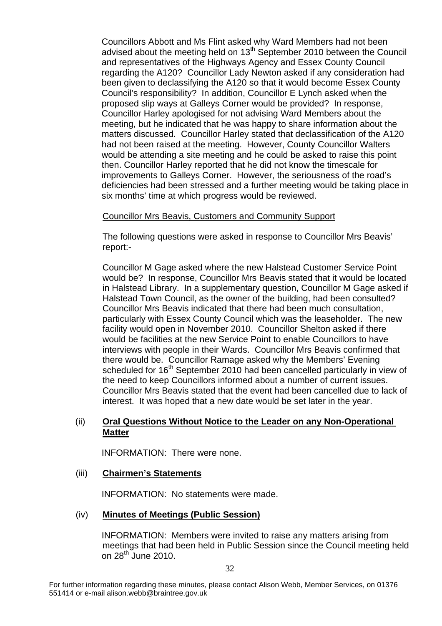Councillors Abbott and Ms Flint asked why Ward Members had not been advised about the meeting held on  $13<sup>th</sup>$  September 2010 between the Council and representatives of the Highways Agency and Essex County Council regarding the A120? Councillor Lady Newton asked if any consideration had been given to declassifying the A120 so that it would become Essex County Council's responsibility? In addition, Councillor E Lynch asked when the proposed slip ways at Galleys Corner would be provided? In response, Councillor Harley apologised for not advising Ward Members about the meeting, but he indicated that he was happy to share information about the matters discussed. Councillor Harley stated that declassification of the A120 had not been raised at the meeting. However, County Councillor Walters would be attending a site meeting and he could be asked to raise this point then. Councillor Harley reported that he did not know the timescale for improvements to Galleys Corner. However, the seriousness of the road's deficiencies had been stressed and a further meeting would be taking place in six months' time at which progress would be reviewed.

#### Councillor Mrs Beavis, Customers and Community Support

The following questions were asked in response to Councillor Mrs Beavis' report:-

Councillor M Gage asked where the new Halstead Customer Service Point would be? In response, Councillor Mrs Beavis stated that it would be located in Halstead Library. In a supplementary question, Councillor M Gage asked if Halstead Town Council, as the owner of the building, had been consulted? Councillor Mrs Beavis indicated that there had been much consultation, particularly with Essex County Council which was the leaseholder. The new facility would open in November 2010. Councillor Shelton asked if there would be facilities at the new Service Point to enable Councillors to have interviews with people in their Wards. Councillor Mrs Beavis confirmed that there would be. Councillor Ramage asked why the Members' Evening scheduled for 16<sup>th</sup> September 2010 had been cancelled particularly in view of the need to keep Councillors informed about a number of current issues. Councillor Mrs Beavis stated that the event had been cancelled due to lack of interest. It was hoped that a new date would be set later in the year.

#### (ii) **Oral Questions Without Notice to the Leader on any Non-Operational Matter**

INFORMATION: There were none.

#### (iii) **Chairmen's Statements**

INFORMATION: No statements were made.

#### (iv) **Minutes of Meetings (Public Session)**

INFORMATION: Members were invited to raise any matters arising from meetings that had been held in Public Session since the Council meeting held on  $28^{th}$  June 2010.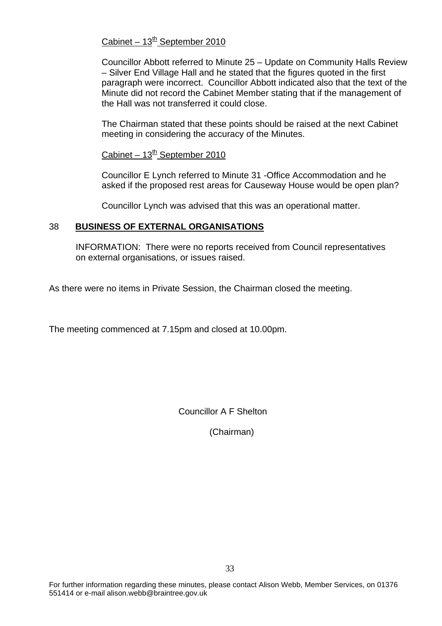### Cabinet –  $13<sup>th</sup>$  September 2010

Councillor Abbott referred to Minute 25 – Update on Community Halls Review – Silver End Village Hall and he stated that the figures quoted in the first paragraph were incorrect. Councillor Abbott indicated also that the text of the Minute did not record the Cabinet Member stating that if the management of the Hall was not transferred it could close.

The Chairman stated that these points should be raised at the next Cabinet meeting in considering the accuracy of the Minutes.

Cabinet –  $13^{th}$  September 2010

Councillor E Lynch referred to Minute 31 -Office Accommodation and he asked if the proposed rest areas for Causeway House would be open plan?

Councillor Lynch was advised that this was an operational matter.

### 38 **BUSINESS OF EXTERNAL ORGANISATIONS**

INFORMATION: There were no reports received from Council representatives on external organisations, or issues raised.

As there were no items in Private Session, the Chairman closed the meeting.

The meeting commenced at 7.15pm and closed at 10.00pm.

Councillor A F Shelton

(Chairman)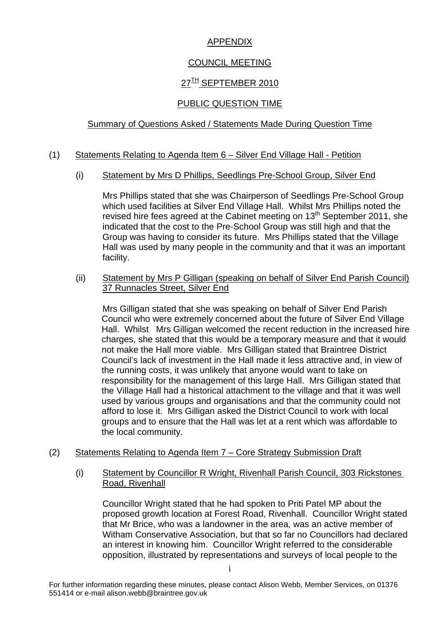# APPENDIX

# COUNCIL MEETING

# 27<sup>TH</sup> SEPTEMBER 2010

# PUBLIC QUESTION TIME

# Summary of Questions Asked / Statements Made During Question Time

# (1) Statements Relating to Agenda Item 6 – Silver End Village Hall - Petition

# (i) Statement by Mrs D Phillips, Seedlings Pre-School Group, Silver End

Mrs Phillips stated that she was Chairperson of Seedlings Pre-School Group which used facilities at Silver End Village Hall. Whilst Mrs Phillips noted the revised hire fees agreed at the Cabinet meeting on 13<sup>th</sup> September 2011, she indicated that the cost to the Pre-School Group was still high and that the Group was having to consider its future. Mrs Phillips stated that the Village Hall was used by many people in the community and that it was an important facility.

(ii) Statement by Mrs P Gilligan (speaking on behalf of Silver End Parish Council) 37 Runnacles Street, Silver End

Mrs Gilligan stated that she was speaking on behalf of Silver End Parish Council who were extremely concerned about the future of Silver End Village Hall. Whilst Mrs Gilligan welcomed the recent reduction in the increased hire charges, she stated that this would be a temporary measure and that it would not make the Hall more viable. Mrs Gilligan stated that Braintree District Council's lack of investment in the Hall made it less attractive and, in view of the running costs, it was unlikely that anyone would want to take on responsibility for the management of this large Hall. Mrs Gilligan stated that the Village Hall had a historical attachment to the village and that it was well used by various groups and organisations and that the community could not afford to lose it. Mrs Gilligan asked the District Council to work with local groups and to ensure that the Hall was let at a rent which was affordable to the local community.

#### (2) Statements Relating to Agenda Item 7 – Core Strategy Submission Draft

(i) Statement by Councillor R Wright, Rivenhall Parish Council, 303 Rickstones Road, Rivenhall

Councillor Wright stated that he had spoken to Priti Patel MP about the proposed growth location at Forest Road, Rivenhall. Councillor Wright stated that Mr Brice, who was a landowner in the area, was an active member of Witham Conservative Association, but that so far no Councillors had declared an interest in knowing him. Councillor Wright referred to the considerable opposition, illustrated by representations and surveys of local people to the